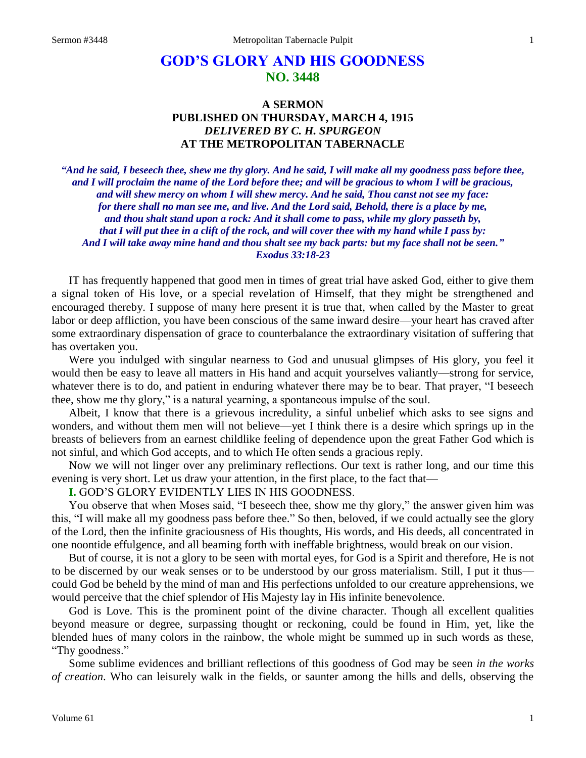# **GOD'S GLORY AND HIS GOODNESS NO. 3448**

# **A SERMON PUBLISHED ON THURSDAY, MARCH 4, 1915** *DELIVERED BY C. H. SPURGEON* **AT THE METROPOLITAN TABERNACLE**

*"And he said, I beseech thee, shew me thy glory. And he said, I will make all my goodness pass before thee, and I will proclaim the name of the Lord before thee; and will be gracious to whom I will be gracious, and will shew mercy on whom I will shew mercy. And he said, Thou canst not see my face: for there shall no man see me, and live. And the Lord said, Behold, there is a place by me, and thou shalt stand upon a rock: And it shall come to pass, while my glory passeth by, that I will put thee in a clift of the rock, and will cover thee with my hand while I pass by: And I will take away mine hand and thou shalt see my back parts: but my face shall not be seen." Exodus 33:18-23*

IT has frequently happened that good men in times of great trial have asked God, either to give them a signal token of His love, or a special revelation of Himself, that they might be strengthened and encouraged thereby. I suppose of many here present it is true that, when called by the Master to great labor or deep affliction, you have been conscious of the same inward desire—your heart has craved after some extraordinary dispensation of grace to counterbalance the extraordinary visitation of suffering that has overtaken you.

Were you indulged with singular nearness to God and unusual glimpses of His glory, you feel it would then be easy to leave all matters in His hand and acquit yourselves valiantly—strong for service, whatever there is to do, and patient in enduring whatever there may be to bear. That prayer, "I beseech thee, show me thy glory," is a natural yearning, a spontaneous impulse of the soul.

Albeit, I know that there is a grievous incredulity, a sinful unbelief which asks to see signs and wonders, and without them men will not believe—yet I think there is a desire which springs up in the breasts of believers from an earnest childlike feeling of dependence upon the great Father God which is not sinful, and which God accepts, and to which He often sends a gracious reply.

Now we will not linger over any preliminary reflections. Our text is rather long, and our time this evening is very short. Let us draw your attention, in the first place, to the fact that—

**I.** GOD'S GLORY EVIDENTLY LIES IN HIS GOODNESS.

You observe that when Moses said, "I beseech thee, show me thy glory," the answer given him was this, "I will make all my goodness pass before thee." So then, beloved, if we could actually see the glory of the Lord, then the infinite graciousness of His thoughts, His words, and His deeds, all concentrated in one noontide effulgence, and all beaming forth with ineffable brightness, would break on our vision.

But of course, it is not a glory to be seen with mortal eyes, for God is a Spirit and therefore, He is not to be discerned by our weak senses or to be understood by our gross materialism. Still, I put it thus could God be beheld by the mind of man and His perfections unfolded to our creature apprehensions, we would perceive that the chief splendor of His Majesty lay in His infinite benevolence.

God is Love. This is the prominent point of the divine character. Though all excellent qualities beyond measure or degree, surpassing thought or reckoning, could be found in Him, yet, like the blended hues of many colors in the rainbow, the whole might be summed up in such words as these, "Thy goodness."

Some sublime evidences and brilliant reflections of this goodness of God may be seen *in the works of creation*. Who can leisurely walk in the fields, or saunter among the hills and dells, observing the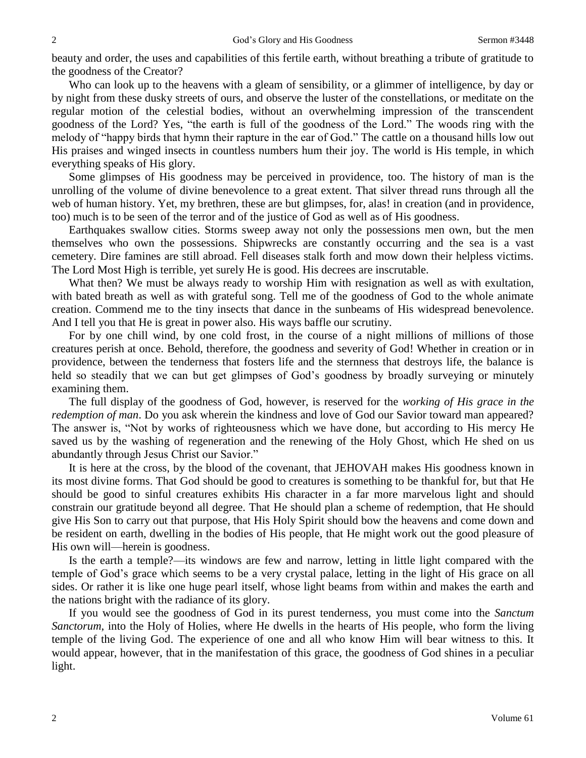beauty and order, the uses and capabilities of this fertile earth, without breathing a tribute of gratitude to the goodness of the Creator?

Who can look up to the heavens with a gleam of sensibility, or a glimmer of intelligence, by day or by night from these dusky streets of ours, and observe the luster of the constellations, or meditate on the regular motion of the celestial bodies, without an overwhelming impression of the transcendent goodness of the Lord? Yes, "the earth is full of the goodness of the Lord." The woods ring with the melody of "happy birds that hymn their rapture in the ear of God." The cattle on a thousand hills low out His praises and winged insects in countless numbers hum their joy. The world is His temple, in which everything speaks of His glory.

Some glimpses of His goodness may be perceived in providence, too. The history of man is the unrolling of the volume of divine benevolence to a great extent. That silver thread runs through all the web of human history. Yet, my brethren, these are but glimpses, for, alas! in creation (and in providence, too) much is to be seen of the terror and of the justice of God as well as of His goodness.

Earthquakes swallow cities. Storms sweep away not only the possessions men own, but the men themselves who own the possessions. Shipwrecks are constantly occurring and the sea is a vast cemetery. Dire famines are still abroad. Fell diseases stalk forth and mow down their helpless victims. The Lord Most High is terrible, yet surely He is good. His decrees are inscrutable.

What then? We must be always ready to worship Him with resignation as well as with exultation, with bated breath as well as with grateful song. Tell me of the goodness of God to the whole animate creation. Commend me to the tiny insects that dance in the sunbeams of His widespread benevolence. And I tell you that He is great in power also. His ways baffle our scrutiny.

For by one chill wind, by one cold frost, in the course of a night millions of millions of those creatures perish at once. Behold, therefore, the goodness and severity of God! Whether in creation or in providence, between the tenderness that fosters life and the sternness that destroys life, the balance is held so steadily that we can but get glimpses of God's goodness by broadly surveying or minutely examining them.

The full display of the goodness of God, however, is reserved for the *working of His grace in the redemption of man*. Do you ask wherein the kindness and love of God our Savior toward man appeared? The answer is, "Not by works of righteousness which we have done, but according to His mercy He saved us by the washing of regeneration and the renewing of the Holy Ghost, which He shed on us abundantly through Jesus Christ our Savior."

It is here at the cross, by the blood of the covenant, that JEHOVAH makes His goodness known in its most divine forms. That God should be good to creatures is something to be thankful for, but that He should be good to sinful creatures exhibits His character in a far more marvelous light and should constrain our gratitude beyond all degree. That He should plan a scheme of redemption, that He should give His Son to carry out that purpose, that His Holy Spirit should bow the heavens and come down and be resident on earth, dwelling in the bodies of His people, that He might work out the good pleasure of His own will—herein is goodness.

Is the earth a temple?—its windows are few and narrow, letting in little light compared with the temple of God's grace which seems to be a very crystal palace, letting in the light of His grace on all sides. Or rather it is like one huge pearl itself, whose light beams from within and makes the earth and the nations bright with the radiance of its glory.

If you would see the goodness of God in its purest tenderness, you must come into the *Sanctum Sanctorum*, into the Holy of Holies, where He dwells in the hearts of His people, who form the living temple of the living God. The experience of one and all who know Him will bear witness to this. It would appear, however, that in the manifestation of this grace, the goodness of God shines in a peculiar light.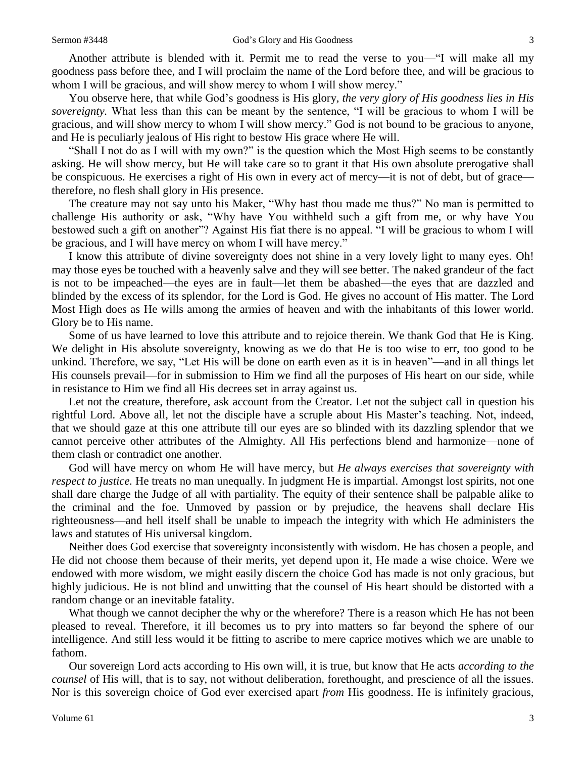Another attribute is blended with it. Permit me to read the verse to you—"I will make all my goodness pass before thee, and I will proclaim the name of the Lord before thee, and will be gracious to whom I will be gracious, and will show mercy to whom I will show mercy."

You observe here, that while God's goodness is His glory, *the very glory of His goodness lies in His sovereignty.* What less than this can be meant by the sentence, "I will be gracious to whom I will be gracious, and will show mercy to whom I will show mercy." God is not bound to be gracious to anyone, and He is peculiarly jealous of His right to bestow His grace where He will.

"Shall I not do as I will with my own?" is the question which the Most High seems to be constantly asking. He will show mercy, but He will take care so to grant it that His own absolute prerogative shall be conspicuous. He exercises a right of His own in every act of mercy—it is not of debt, but of grace therefore, no flesh shall glory in His presence.

The creature may not say unto his Maker, "Why hast thou made me thus?" No man is permitted to challenge His authority or ask, "Why have You withheld such a gift from me, or why have You bestowed such a gift on another"? Against His fiat there is no appeal. "I will be gracious to whom I will be gracious, and I will have mercy on whom I will have mercy."

I know this attribute of divine sovereignty does not shine in a very lovely light to many eyes. Oh! may those eyes be touched with a heavenly salve and they will see better. The naked grandeur of the fact is not to be impeached—the eyes are in fault—let them be abashed—the eyes that are dazzled and blinded by the excess of its splendor, for the Lord is God. He gives no account of His matter. The Lord Most High does as He wills among the armies of heaven and with the inhabitants of this lower world. Glory be to His name.

Some of us have learned to love this attribute and to rejoice therein. We thank God that He is King. We delight in His absolute sovereignty, knowing as we do that He is too wise to err, too good to be unkind. Therefore, we say, "Let His will be done on earth even as it is in heaven"—and in all things let His counsels prevail—for in submission to Him we find all the purposes of His heart on our side, while in resistance to Him we find all His decrees set in array against us.

Let not the creature, therefore, ask account from the Creator. Let not the subject call in question his rightful Lord. Above all, let not the disciple have a scruple about His Master's teaching. Not, indeed, that we should gaze at this one attribute till our eyes are so blinded with its dazzling splendor that we cannot perceive other attributes of the Almighty. All His perfections blend and harmonize—none of them clash or contradict one another.

God will have mercy on whom He will have mercy, but *He always exercises that sovereignty with respect to justice.* He treats no man unequally. In judgment He is impartial. Amongst lost spirits, not one shall dare charge the Judge of all with partiality. The equity of their sentence shall be palpable alike to the criminal and the foe. Unmoved by passion or by prejudice, the heavens shall declare His righteousness—and hell itself shall be unable to impeach the integrity with which He administers the laws and statutes of His universal kingdom.

Neither does God exercise that sovereignty inconsistently with wisdom. He has chosen a people, and He did not choose them because of their merits, yet depend upon it, He made a wise choice. Were we endowed with more wisdom, we might easily discern the choice God has made is not only gracious, but highly judicious. He is not blind and unwitting that the counsel of His heart should be distorted with a random change or an inevitable fatality.

What though we cannot decipher the why or the wherefore? There is a reason which He has not been pleased to reveal. Therefore, it ill becomes us to pry into matters so far beyond the sphere of our intelligence. And still less would it be fitting to ascribe to mere caprice motives which we are unable to fathom.

Our sovereign Lord acts according to His own will, it is true, but know that He acts *according to the counsel* of His will, that is to say, not without deliberation, forethought, and prescience of all the issues. Nor is this sovereign choice of God ever exercised apart *from* His goodness. He is infinitely gracious,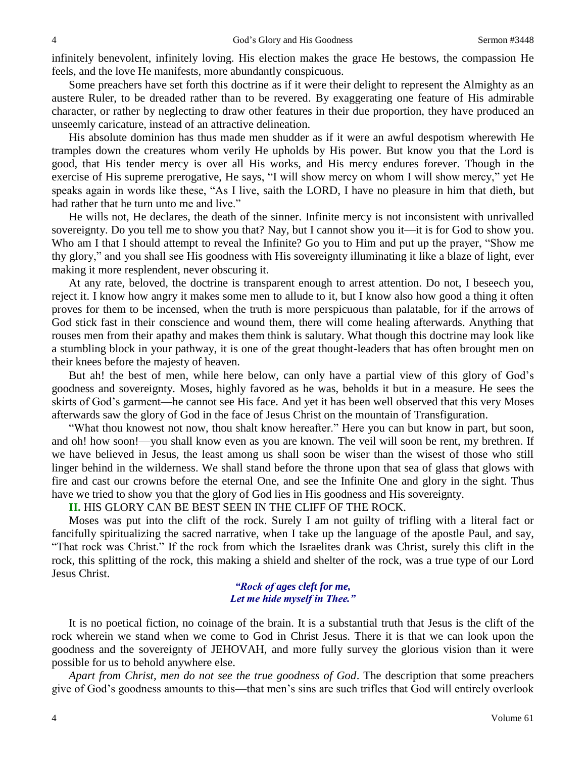infinitely benevolent, infinitely loving. His election makes the grace He bestows, the compassion He feels, and the love He manifests, more abundantly conspicuous.

Some preachers have set forth this doctrine as if it were their delight to represent the Almighty as an austere Ruler, to be dreaded rather than to be revered. By exaggerating one feature of His admirable character, or rather by neglecting to draw other features in their due proportion, they have produced an unseemly caricature, instead of an attractive delineation.

His absolute dominion has thus made men shudder as if it were an awful despotism wherewith He tramples down the creatures whom verily He upholds by His power. But know you that the Lord is good, that His tender mercy is over all His works, and His mercy endures forever. Though in the exercise of His supreme prerogative, He says, "I will show mercy on whom I will show mercy," yet He speaks again in words like these, "As I live, saith the LORD, I have no pleasure in him that dieth, but had rather that he turn unto me and live."

He wills not, He declares, the death of the sinner. Infinite mercy is not inconsistent with unrivalled sovereignty. Do you tell me to show you that? Nay, but I cannot show you it—it is for God to show you. Who am I that I should attempt to reveal the Infinite? Go you to Him and put up the prayer, "Show me thy glory," and you shall see His goodness with His sovereignty illuminating it like a blaze of light, ever making it more resplendent, never obscuring it.

At any rate, beloved, the doctrine is transparent enough to arrest attention. Do not, I beseech you, reject it. I know how angry it makes some men to allude to it, but I know also how good a thing it often proves for them to be incensed, when the truth is more perspicuous than palatable, for if the arrows of God stick fast in their conscience and wound them, there will come healing afterwards. Anything that rouses men from their apathy and makes them think is salutary. What though this doctrine may look like a stumbling block in your pathway, it is one of the great thought-leaders that has often brought men on their knees before the majesty of heaven.

But ah! the best of men, while here below, can only have a partial view of this glory of God's goodness and sovereignty. Moses, highly favored as he was, beholds it but in a measure. He sees the skirts of God's garment—he cannot see His face. And yet it has been well observed that this very Moses afterwards saw the glory of God in the face of Jesus Christ on the mountain of Transfiguration.

"What thou knowest not now, thou shalt know hereafter." Here you can but know in part, but soon, and oh! how soon!—you shall know even as you are known. The veil will soon be rent, my brethren. If we have believed in Jesus, the least among us shall soon be wiser than the wisest of those who still linger behind in the wilderness. We shall stand before the throne upon that sea of glass that glows with fire and cast our crowns before the eternal One, and see the Infinite One and glory in the sight. Thus have we tried to show you that the glory of God lies in His goodness and His sovereignty.

**II.** HIS GLORY CAN BE BEST SEEN IN THE CLIFF OF THE ROCK.

Moses was put into the clift of the rock. Surely I am not guilty of trifling with a literal fact or fancifully spiritualizing the sacred narrative, when I take up the language of the apostle Paul, and say, "That rock was Christ." If the rock from which the Israelites drank was Christ, surely this clift in the rock, this splitting of the rock, this making a shield and shelter of the rock, was a true type of our Lord Jesus Christ.

### *"Rock of ages cleft for me, Let me hide myself in Thee."*

It is no poetical fiction, no coinage of the brain. It is a substantial truth that Jesus is the clift of the rock wherein we stand when we come to God in Christ Jesus. There it is that we can look upon the goodness and the sovereignty of JEHOVAH, and more fully survey the glorious vision than it were possible for us to behold anywhere else.

*Apart from Christ, men do not see the true goodness of God*. The description that some preachers give of God's goodness amounts to this—that men's sins are such trifles that God will entirely overlook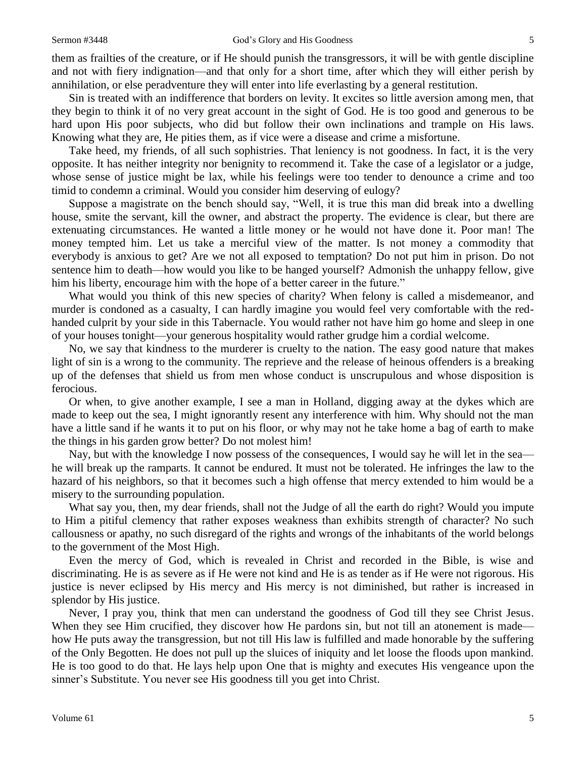them as frailties of the creature, or if He should punish the transgressors, it will be with gentle discipline and not with fiery indignation—and that only for a short time, after which they will either perish by annihilation, or else peradventure they will enter into life everlasting by a general restitution.

Sin is treated with an indifference that borders on levity. It excites so little aversion among men, that they begin to think it of no very great account in the sight of God. He is too good and generous to be hard upon His poor subjects, who did but follow their own inclinations and trample on His laws. Knowing what they are, He pities them, as if vice were a disease and crime a misfortune.

Take heed, my friends, of all such sophistries. That leniency is not goodness. In fact, it is the very opposite. It has neither integrity nor benignity to recommend it. Take the case of a legislator or a judge, whose sense of justice might be lax, while his feelings were too tender to denounce a crime and too timid to condemn a criminal. Would you consider him deserving of eulogy?

Suppose a magistrate on the bench should say, "Well, it is true this man did break into a dwelling house, smite the servant, kill the owner, and abstract the property. The evidence is clear, but there are extenuating circumstances. He wanted a little money or he would not have done it. Poor man! The money tempted him. Let us take a merciful view of the matter. Is not money a commodity that everybody is anxious to get? Are we not all exposed to temptation? Do not put him in prison. Do not sentence him to death—how would you like to be hanged yourself? Admonish the unhappy fellow, give him his liberty, encourage him with the hope of a better career in the future."

What would you think of this new species of charity? When felony is called a misdemeanor, and murder is condoned as a casualty, I can hardly imagine you would feel very comfortable with the redhanded culprit by your side in this Tabernacle. You would rather not have him go home and sleep in one of your houses tonight—your generous hospitality would rather grudge him a cordial welcome.

No, we say that kindness to the murderer is cruelty to the nation. The easy good nature that makes light of sin is a wrong to the community. The reprieve and the release of heinous offenders is a breaking up of the defenses that shield us from men whose conduct is unscrupulous and whose disposition is ferocious.

Or when, to give another example, I see a man in Holland, digging away at the dykes which are made to keep out the sea, I might ignorantly resent any interference with him. Why should not the man have a little sand if he wants it to put on his floor, or why may not he take home a bag of earth to make the things in his garden grow better? Do not molest him!

Nay, but with the knowledge I now possess of the consequences, I would say he will let in the sea he will break up the ramparts. It cannot be endured. It must not be tolerated. He infringes the law to the hazard of his neighbors, so that it becomes such a high offense that mercy extended to him would be a misery to the surrounding population.

What say you, then, my dear friends, shall not the Judge of all the earth do right? Would you impute to Him a pitiful clemency that rather exposes weakness than exhibits strength of character? No such callousness or apathy, no such disregard of the rights and wrongs of the inhabitants of the world belongs to the government of the Most High.

Even the mercy of God, which is revealed in Christ and recorded in the Bible, is wise and discriminating. He is as severe as if He were not kind and He is as tender as if He were not rigorous. His justice is never eclipsed by His mercy and His mercy is not diminished, but rather is increased in splendor by His justice.

Never, I pray you, think that men can understand the goodness of God till they see Christ Jesus. When they see Him crucified, they discover how He pardons sin, but not till an atonement is made how He puts away the transgression, but not till His law is fulfilled and made honorable by the suffering of the Only Begotten. He does not pull up the sluices of iniquity and let loose the floods upon mankind. He is too good to do that. He lays help upon One that is mighty and executes His vengeance upon the sinner's Substitute. You never see His goodness till you get into Christ.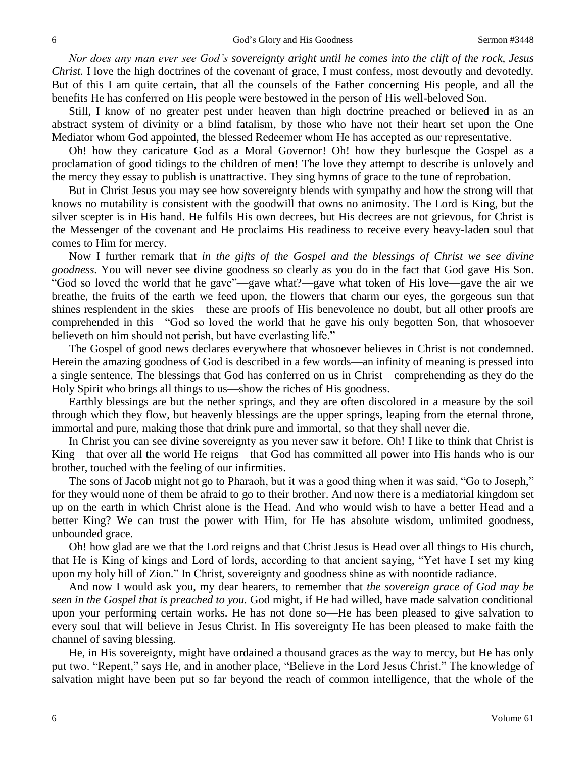*Nor does any man ever see God's sovereignty aright until he comes into the clift of the rock, Jesus Christ.* I love the high doctrines of the covenant of grace, I must confess, most devoutly and devotedly. But of this I am quite certain, that all the counsels of the Father concerning His people, and all the benefits He has conferred on His people were bestowed in the person of His well-beloved Son.

Still, I know of no greater pest under heaven than high doctrine preached or believed in as an abstract system of divinity or a blind fatalism, by those who have not their heart set upon the One Mediator whom God appointed, the blessed Redeemer whom He has accepted as our representative.

Oh! how they caricature God as a Moral Governor! Oh! how they burlesque the Gospel as a proclamation of good tidings to the children of men! The love they attempt to describe is unlovely and the mercy they essay to publish is unattractive. They sing hymns of grace to the tune of reprobation.

But in Christ Jesus you may see how sovereignty blends with sympathy and how the strong will that knows no mutability is consistent with the goodwill that owns no animosity. The Lord is King, but the silver scepter is in His hand. He fulfils His own decrees, but His decrees are not grievous, for Christ is the Messenger of the covenant and He proclaims His readiness to receive every heavy-laden soul that comes to Him for mercy.

Now I further remark that *in the gifts of the Gospel and the blessings of Christ we see divine goodness.* You will never see divine goodness so clearly as you do in the fact that God gave His Son. "God so loved the world that he gave"—gave what?—gave what token of His love—gave the air we breathe, the fruits of the earth we feed upon, the flowers that charm our eyes, the gorgeous sun that shines resplendent in the skies—these are proofs of His benevolence no doubt, but all other proofs are comprehended in this—"God so loved the world that he gave his only begotten Son, that whosoever believeth on him should not perish, but have everlasting life."

The Gospel of good news declares everywhere that whosoever believes in Christ is not condemned. Herein the amazing goodness of God is described in a few words—an infinity of meaning is pressed into a single sentence. The blessings that God has conferred on us in Christ—comprehending as they do the Holy Spirit who brings all things to us—show the riches of His goodness.

Earthly blessings are but the nether springs, and they are often discolored in a measure by the soil through which they flow, but heavenly blessings are the upper springs, leaping from the eternal throne, immortal and pure, making those that drink pure and immortal, so that they shall never die.

In Christ you can see divine sovereignty as you never saw it before. Oh! I like to think that Christ is King—that over all the world He reigns—that God has committed all power into His hands who is our brother, touched with the feeling of our infirmities.

The sons of Jacob might not go to Pharaoh, but it was a good thing when it was said, "Go to Joseph," for they would none of them be afraid to go to their brother. And now there is a mediatorial kingdom set up on the earth in which Christ alone is the Head. And who would wish to have a better Head and a better King? We can trust the power with Him, for He has absolute wisdom, unlimited goodness, unbounded grace.

Oh! how glad are we that the Lord reigns and that Christ Jesus is Head over all things to His church, that He is King of kings and Lord of lords, according to that ancient saying, "Yet have I set my king upon my holy hill of Zion." In Christ, sovereignty and goodness shine as with noontide radiance.

And now I would ask you, my dear hearers, to remember that *the sovereign grace of God may be seen in the Gospel that is preached to you.* God might, if He had willed, have made salvation conditional upon your performing certain works. He has not done so—He has been pleased to give salvation to every soul that will believe in Jesus Christ. In His sovereignty He has been pleased to make faith the channel of saving blessing.

He, in His sovereignty, might have ordained a thousand graces as the way to mercy, but He has only put two. "Repent," says He, and in another place, "Believe in the Lord Jesus Christ." The knowledge of salvation might have been put so far beyond the reach of common intelligence, that the whole of the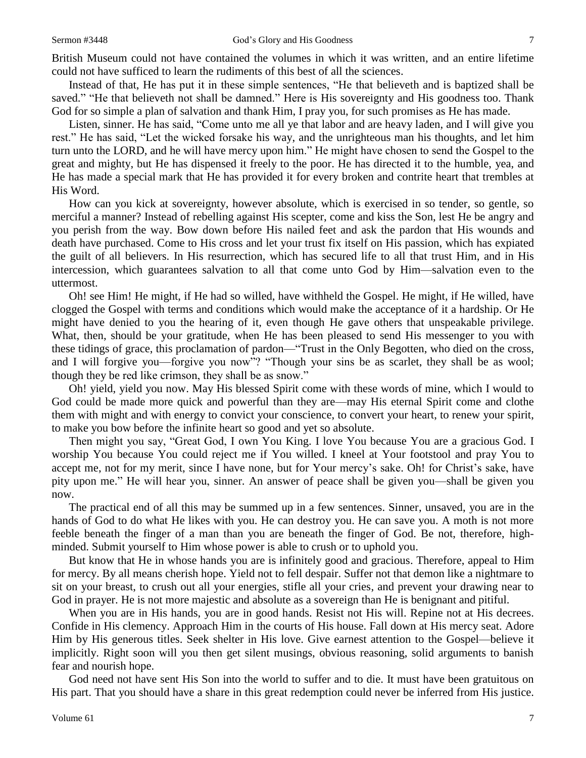Instead of that, He has put it in these simple sentences, "He that believeth and is baptized shall be saved." "He that believeth not shall be damned." Here is His sovereignty and His goodness too. Thank God for so simple a plan of salvation and thank Him, I pray you, for such promises as He has made.

Listen, sinner. He has said, "Come unto me all ye that labor and are heavy laden, and I will give you rest." He has said, "Let the wicked forsake his way, and the unrighteous man his thoughts, and let him turn unto the LORD, and he will have mercy upon him." He might have chosen to send the Gospel to the great and mighty, but He has dispensed it freely to the poor. He has directed it to the humble, yea, and He has made a special mark that He has provided it for every broken and contrite heart that trembles at His Word.

How can you kick at sovereignty, however absolute, which is exercised in so tender, so gentle, so merciful a manner? Instead of rebelling against His scepter, come and kiss the Son, lest He be angry and you perish from the way. Bow down before His nailed feet and ask the pardon that His wounds and death have purchased. Come to His cross and let your trust fix itself on His passion, which has expiated the guilt of all believers. In His resurrection, which has secured life to all that trust Him, and in His intercession, which guarantees salvation to all that come unto God by Him—salvation even to the uttermost.

Oh! see Him! He might, if He had so willed, have withheld the Gospel. He might, if He willed, have clogged the Gospel with terms and conditions which would make the acceptance of it a hardship. Or He might have denied to you the hearing of it, even though He gave others that unspeakable privilege. What, then, should be your gratitude, when He has been pleased to send His messenger to you with these tidings of grace, this proclamation of pardon—"Trust in the Only Begotten, who died on the cross, and I will forgive you—forgive you now"? "Though your sins be as scarlet, they shall be as wool; though they be red like crimson, they shall be as snow."

Oh! yield, yield you now. May His blessed Spirit come with these words of mine, which I would to God could be made more quick and powerful than they are—may His eternal Spirit come and clothe them with might and with energy to convict your conscience, to convert your heart, to renew your spirit, to make you bow before the infinite heart so good and yet so absolute.

Then might you say, "Great God, I own You King. I love You because You are a gracious God. I worship You because You could reject me if You willed. I kneel at Your footstool and pray You to accept me, not for my merit, since I have none, but for Your mercy's sake. Oh! for Christ's sake, have pity upon me." He will hear you, sinner. An answer of peace shall be given you—shall be given you now.

The practical end of all this may be summed up in a few sentences. Sinner, unsaved, you are in the hands of God to do what He likes with you. He can destroy you. He can save you. A moth is not more feeble beneath the finger of a man than you are beneath the finger of God. Be not, therefore, highminded. Submit yourself to Him whose power is able to crush or to uphold you.

But know that He in whose hands you are is infinitely good and gracious. Therefore, appeal to Him for mercy. By all means cherish hope. Yield not to fell despair. Suffer not that demon like a nightmare to sit on your breast, to crush out all your energies, stifle all your cries, and prevent your drawing near to God in prayer. He is not more majestic and absolute as a sovereign than He is benignant and pitiful.

When you are in His hands, you are in good hands. Resist not His will. Repine not at His decrees. Confide in His clemency. Approach Him in the courts of His house. Fall down at His mercy seat. Adore Him by His generous titles. Seek shelter in His love. Give earnest attention to the Gospel—believe it implicitly. Right soon will you then get silent musings, obvious reasoning, solid arguments to banish fear and nourish hope.

God need not have sent His Son into the world to suffer and to die. It must have been gratuitous on His part. That you should have a share in this great redemption could never be inferred from His justice.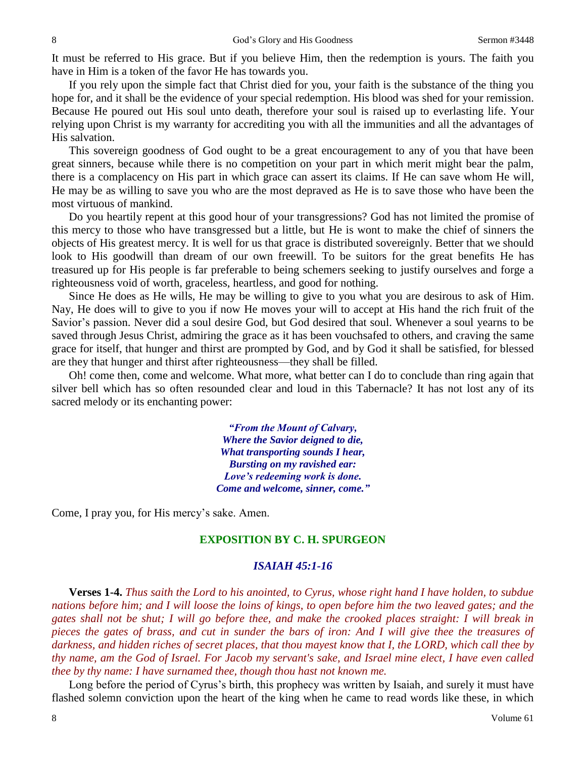It must be referred to His grace. But if you believe Him, then the redemption is yours. The faith you have in Him is a token of the favor He has towards you.

If you rely upon the simple fact that Christ died for you, your faith is the substance of the thing you hope for, and it shall be the evidence of your special redemption. His blood was shed for your remission. Because He poured out His soul unto death, therefore your soul is raised up to everlasting life. Your relying upon Christ is my warranty for accrediting you with all the immunities and all the advantages of His salvation.

This sovereign goodness of God ought to be a great encouragement to any of you that have been great sinners, because while there is no competition on your part in which merit might bear the palm, there is a complacency on His part in which grace can assert its claims. If He can save whom He will, He may be as willing to save you who are the most depraved as He is to save those who have been the most virtuous of mankind.

Do you heartily repent at this good hour of your transgressions? God has not limited the promise of this mercy to those who have transgressed but a little, but He is wont to make the chief of sinners the objects of His greatest mercy. It is well for us that grace is distributed sovereignly. Better that we should look to His goodwill than dream of our own freewill. To be suitors for the great benefits He has treasured up for His people is far preferable to being schemers seeking to justify ourselves and forge a righteousness void of worth, graceless, heartless, and good for nothing.

Since He does as He wills, He may be willing to give to you what you are desirous to ask of Him. Nay, He does will to give to you if now He moves your will to accept at His hand the rich fruit of the Savior's passion. Never did a soul desire God, but God desired that soul. Whenever a soul yearns to be saved through Jesus Christ, admiring the grace as it has been vouchsafed to others, and craving the same grace for itself, that hunger and thirst are prompted by God, and by God it shall be satisfied, for blessed are they that hunger and thirst after righteousness—they shall be filled.

Oh! come then, come and welcome. What more, what better can I do to conclude than ring again that silver bell which has so often resounded clear and loud in this Tabernacle? It has not lost any of its sacred melody or its enchanting power:

> *"From the Mount of Calvary, Where the Savior deigned to die, What transporting sounds I hear, Bursting on my ravished ear: Love's redeeming work is done. Come and welcome, sinner, come."*

Come, I pray you, for His mercy's sake. Amen.

## **EXPOSITION BY C. H. SPURGEON**

### *ISAIAH 45:1-16*

**Verses 1-4.** *Thus saith the Lord to his anointed, to Cyrus, whose right hand I have holden, to subdue nations before him; and I will loose the loins of kings, to open before him the two leaved gates; and the gates shall not be shut; I will go before thee, and make the crooked places straight: I will break in pieces the gates of brass, and cut in sunder the bars of iron: And I will give thee the treasures of darkness, and hidden riches of secret places, that thou mayest know that I, the LORD, which call thee by thy name, am the God of Israel. For Jacob my servant's sake, and Israel mine elect, I have even called thee by thy name: I have surnamed thee, though thou hast not known me.*

Long before the period of Cyrus's birth, this prophecy was written by Isaiah, and surely it must have flashed solemn conviction upon the heart of the king when he came to read words like these, in which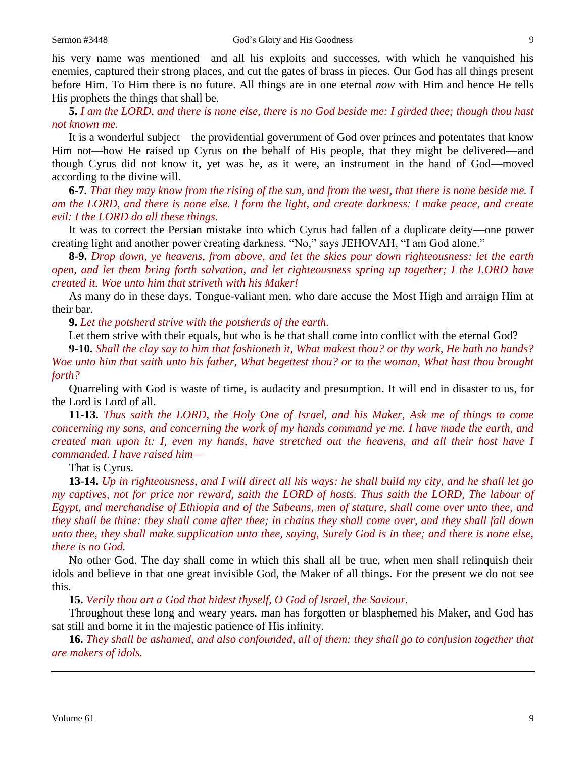his very name was mentioned—and all his exploits and successes, with which he vanquished his enemies, captured their strong places, and cut the gates of brass in pieces. Our God has all things present before Him. To Him there is no future. All things are in one eternal *now* with Him and hence He tells His prophets the things that shall be.

**5.** *I am the LORD, and there is none else, there is no God beside me: I girded thee; though thou hast not known me.* 

It is a wonderful subject—the providential government of God over princes and potentates that know Him not—how He raised up Cyrus on the behalf of His people, that they might be delivered—and though Cyrus did not know it, yet was he, as it were, an instrument in the hand of God—moved according to the divine will.

**6-7.** *That they may know from the rising of the sun, and from the west, that there is none beside me. I am the LORD, and there is none else. I form the light, and create darkness: I make peace, and create evil: I the LORD do all these things.*

It was to correct the Persian mistake into which Cyrus had fallen of a duplicate deity—one power creating light and another power creating darkness. "No," says JEHOVAH, "I am God alone."

**8-9.** *Drop down, ye heavens, from above, and let the skies pour down righteousness: let the earth open, and let them bring forth salvation, and let righteousness spring up together; I the LORD have created it. Woe unto him that striveth with his Maker!* 

As many do in these days. Tongue-valiant men, who dare accuse the Most High and arraign Him at their bar.

**9.** *Let the potsherd strive with the potsherds of the earth.* 

Let them strive with their equals, but who is he that shall come into conflict with the eternal God?

**9-10.** *Shall the clay say to him that fashioneth it, What makest thou? or thy work, He hath no hands? Woe unto him that saith unto his father, What begettest thou? or to the woman, What hast thou brought forth?*

Quarreling with God is waste of time, is audacity and presumption. It will end in disaster to us, for the Lord is Lord of all.

**11-13.** *Thus saith the LORD, the Holy One of Israel, and his Maker, Ask me of things to come concerning my sons, and concerning the work of my hands command ye me. I have made the earth, and created man upon it: I, even my hands, have stretched out the heavens, and all their host have I commanded. I have raised him—*

That is Cyrus.

**13-14.** *Up in righteousness, and I will direct all his ways: he shall build my city, and he shall let go my captives, not for price nor reward, saith the LORD of hosts. Thus saith the LORD, The labour of Egypt, and merchandise of Ethiopia and of the Sabeans, men of stature, shall come over unto thee, and they shall be thine: they shall come after thee; in chains they shall come over, and they shall fall down unto thee, they shall make supplication unto thee, saying, Surely God is in thee; and there is none else, there is no God.*

No other God. The day shall come in which this shall all be true, when men shall relinquish their idols and believe in that one great invisible God, the Maker of all things. For the present we do not see this.

**15.** *Verily thou art a God that hidest thyself, O God of Israel, the Saviour.*

Throughout these long and weary years, man has forgotten or blasphemed his Maker, and God has sat still and borne it in the majestic patience of His infinity.

**16.** *They shall be ashamed, and also confounded, all of them: they shall go to confusion together that are makers of idols.*